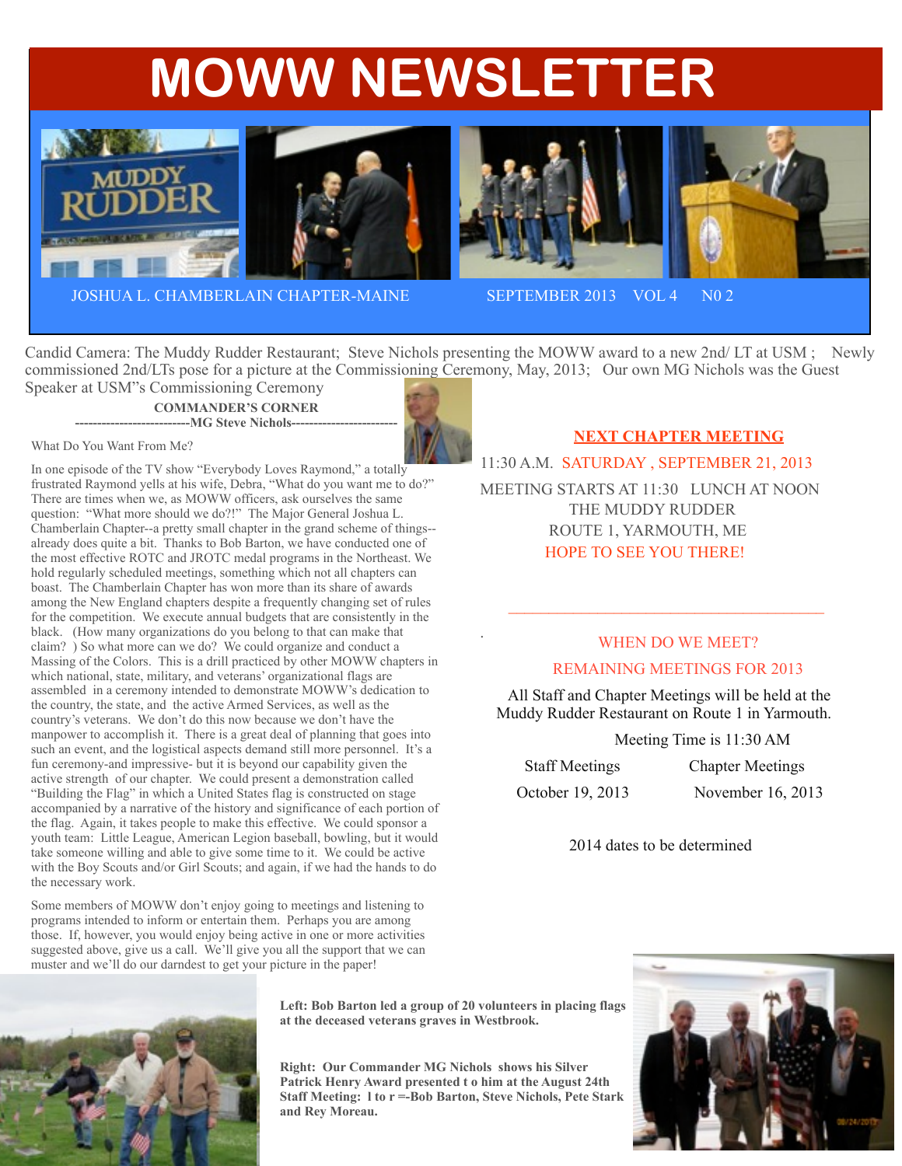# **MOWW NEWSLETTER**







JOSHUA L. CHAMBERLAIN CHAPTER-MAINE SEPTEMBER 2013 VOL 4 N0 2

Candid Camera: The Muddy Rudder Restaurant; Steve Nichols presenting the MOWW award to a new 2nd/ LT at USM ; Newly commissioned 2nd/LTs pose for a picture at the Commissioning Ceremony, May, 2013; Our own MG Nichols was the Guest

Speaker at USM"s Commissioning Ceremony **COMMANDER'S CORNER --------------------------MG Steve Nichols------------------------**



What Do You Want From Me?

In one episode of the TV show "Everybody Loves Raymond," a totally frustrated Raymond yells at his wife, Debra, "What do you want me to do?" There are times when we, as MOWW officers, ask ourselves the same question: "What more should we do?!" The Major General Joshua L. Chamberlain Chapter--a pretty small chapter in the grand scheme of things- already does quite a bit. Thanks to Bob Barton, we have conducted one of the most effective ROTC and JROTC medal programs in the Northeast. We hold regularly scheduled meetings, something which not all chapters can boast. The Chamberlain Chapter has won more than its share of awards among the New England chapters despite a frequently changing set of rules for the competition. We execute annual budgets that are consistently in the black. (How many organizations do you belong to that can make that claim? ) So what more can we do? We could organize and conduct a Massing of the Colors. This is a drill practiced by other MOWW chapters in which national, state, military, and veterans' organizational flags are assembled in a ceremony intended to demonstrate MOWW's dedication to the country, the state, and the active Armed Services, as well as the country's veterans. We don't do this now because we don't have the manpower to accomplish it. There is a great deal of planning that goes into such an event, and the logistical aspects demand still more personnel. It's a fun ceremony-and impressive- but it is beyond our capability given the active strength of our chapter. We could present a demonstration called "Building the Flag" in which a United States flag is constructed on stage accompanied by a narrative of the history and significance of each portion of the flag. Again, it takes people to make this effective. We could sponsor a youth team: Little League, American Legion baseball, bowling, but it would take someone willing and able to give some time to it. We could be active with the Boy Scouts and/or Girl Scouts; and again, if we had the hands to do the necessary work.

Some members of MOWW don't enjoy going to meetings and listening to programs intended to inform or entertain them. Perhaps you are among those. If, however, you would enjoy being active in one or more activities suggested above, give us a call. We'll give you all the support that we can muster and we'll do our darndest to get your picture in the paper!

**Left: Bob Barton led a group of 20 volunteers in placing flags at the deceased veterans graves in Westbrook.**

**Right: Our Commander MG Nichols shows his Silver Patrick Henry Award presented t o him at the August 24th Staff Meeting: l to r =-Bob Barton, Steve Nichols, Pete Stark and Rey Moreau.**

## **NEXT CHAPTER MEETING**

11:30 A.M. SATURDAY , SEPTEMBER 21, 2013 MEETING STARTS AT 11:30 LUNCH AT NOON THE MUDDY RUDDER ROUTE 1, YARMOUTH, ME HOPE TO SEE YOU THERE!

 $\mathcal{L}_\text{max}$ 

# . WHEN DO WE MEET? REMAINING MEETINGS FOR 2013

 All Staff and Chapter Meetings will be held at the Muddy Rudder Restaurant on Route 1 in Yarmouth.

Meeting Time is 11:30 AM

| <b>Staff Meetings</b> | <b>Chapter Meetings</b> |
|-----------------------|-------------------------|
| October 19, 2013      | November 16, 2013       |

2014 dates to be determined

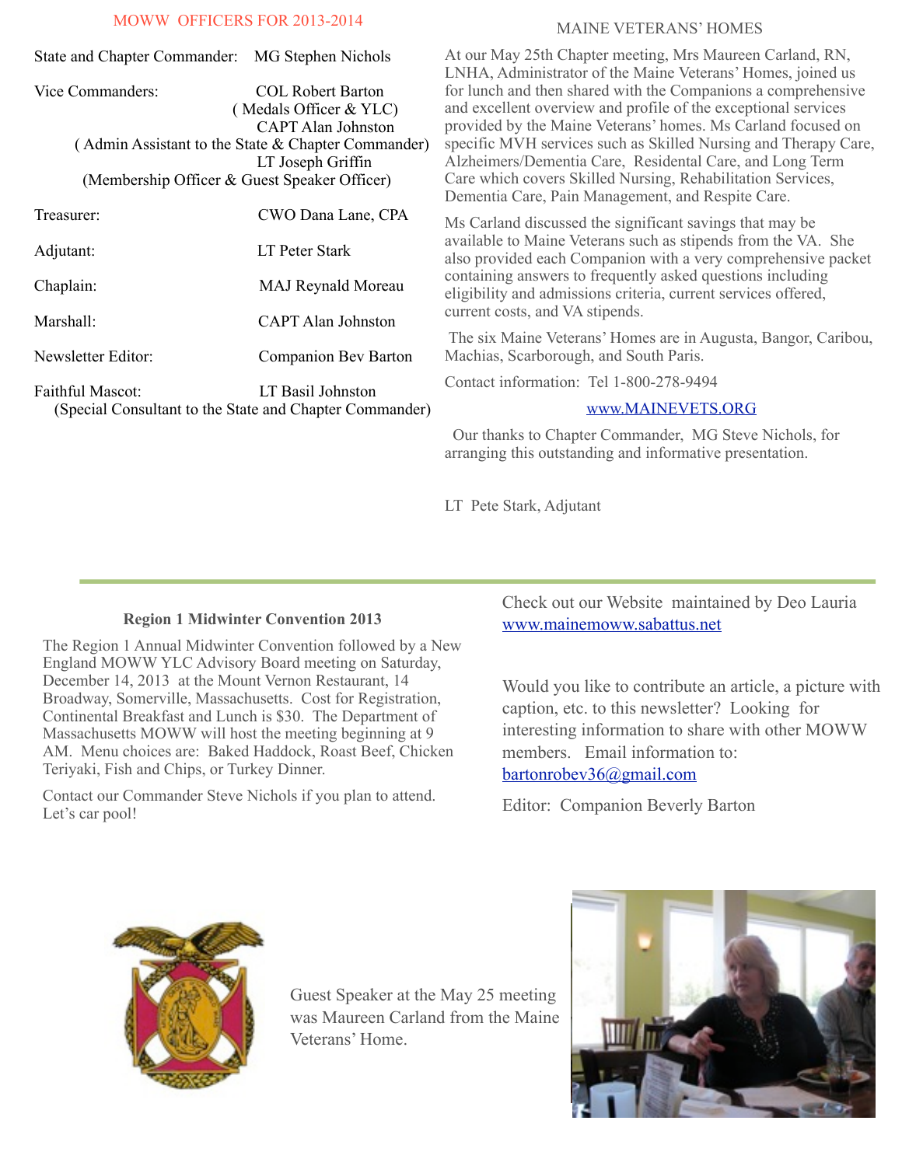### MOWW OFFICERS FOR 2013-2014

| MOWW OFFICERS FOR 2013-2014                                             |                                                 |                                                                                                                  | <b>MAINE VETERANS' HOMES</b>                                                                                                                                                                    |
|-------------------------------------------------------------------------|-------------------------------------------------|------------------------------------------------------------------------------------------------------------------|-------------------------------------------------------------------------------------------------------------------------------------------------------------------------------------------------|
|                                                                         | State and Chapter Commander: MG Stephen Nichols |                                                                                                                  | At our May 25th Chapter meeting, Mrs Maureen Carland, RN,<br>LNHA, Administrator of the Maine Veterans' Homes, joined us                                                                        |
|                                                                         | Vice Commanders:                                | <b>COL Robert Barton</b><br>(Medals Officer & YLC)<br><b>CAPT Alan Johnston</b>                                  | for lunch and then shared with the Companions a comprehensive<br>and excellent overview and profile of the exceptional services<br>provided by the Maine Veterans' homes. Ms Carland focused on |
| (Admin Assistant to the State & Chapter Commander)<br>LT Joseph Griffin |                                                 |                                                                                                                  | specific MVH services such as Skilled Nursing and Therapy Care,<br>Alzheimers/Dementia Care, Residental Care, and Long Term                                                                     |
|                                                                         | (Membership Officer & Guest Speaker Officer)    | Care which covers Skilled Nursing, Rehabilitation Services,<br>Dementia Care, Pain Management, and Respite Care. |                                                                                                                                                                                                 |
|                                                                         | Treasurer:                                      | CWO Dana Lane, CPA                                                                                               | Ms Carland discussed the significant savings that may be                                                                                                                                        |
|                                                                         | Adjutant:                                       | LT Peter Stark                                                                                                   | available to Maine Veterans such as stipends from the VA. She<br>also provided each Companion with a very comprehensive packet                                                                  |
|                                                                         | Chaplain:                                       | <b>MAJ Reynald Moreau</b>                                                                                        | containing answers to frequently asked questions including<br>eligibility and admissions criteria, current services offered,                                                                    |
|                                                                         | Marshall:                                       | CAPT Alan Johnston                                                                                               | current costs, and VA stipends.                                                                                                                                                                 |
|                                                                         | Newsletter Editor:                              | Companion Bev Barton                                                                                             | The six Maine Veterans' Homes are in Augusta, Bangor, Caribou,<br>Machias, Scarborough, and South Paris.                                                                                        |
|                                                                         | Faithful Mascot:                                | LT Basil Johnston<br>(Special Consultant to the State and Chapter Commander)                                     | Contact information: Tel 1-800-278-9494                                                                                                                                                         |
|                                                                         |                                                 |                                                                                                                  | www.MAINEVETS.ORG                                                                                                                                                                               |
|                                                                         |                                                 |                                                                                                                  | Our thanks to Chapter Commander, MG Steve Nichols, for                                                                                                                                          |

LT Pete Stark, Adjutant

#### **Region 1 Midwinter Convention 2013**

The Region 1 Annual Midwinter Convention followed by a New England MOWW YLC Advisory Board meeting on Saturday, December 14, 2013 at the Mount Vernon Restaurant, 14 Broadway, Somerville, Massachusetts. Cost for Registration, Continental Breakfast and Lunch is \$30. The Department of Massachusetts MOWW will host the meeting beginning at 9 AM. Menu choices are: Baked Haddock, Roast Beef, Chicken Teriyaki, Fish and Chips, or Turkey Dinner.

Contact our Commander Steve Nichols if you plan to attend. Let's car pool!

Check out our Website maintained by Deo Lauria [www.mainemoww.sabattus.net](http://www.mainemoww.sabattus.net)

Would you like to contribute an article, a picture with caption, etc. to this newsletter? Looking for interesting information to share with other MOWW members. Email information to: [bartonrobev36@gmail.com](mailto:bartonrobev36@gmail.com) 

Editor: Companion Beverly Barton

arranging this outstanding and informative presentation.



Guest Speaker at the May 25 meeting was Maureen Carland from the Maine Veterans' Home.